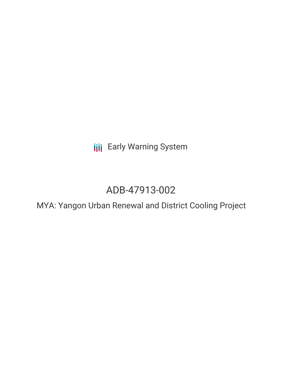**III** Early Warning System

# ADB-47913-002

MYA: Yangon Urban Renewal and District Cooling Project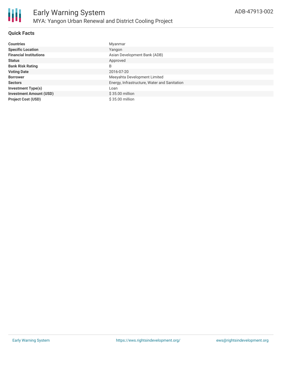

#### **Quick Facts**

| <b>Countries</b>               | Myanmar                                      |
|--------------------------------|----------------------------------------------|
| <b>Specific Location</b>       | Yangon                                       |
| <b>Financial Institutions</b>  | Asian Development Bank (ADB)                 |
| <b>Status</b>                  | Approved                                     |
| <b>Bank Risk Rating</b>        | B                                            |
| <b>Voting Date</b>             | 2016-07-20                                   |
| <b>Borrower</b>                | Meeyahta Development Limited                 |
| <b>Sectors</b>                 | Energy, Infrastructure, Water and Sanitation |
| <b>Investment Type(s)</b>      | Loan                                         |
| <b>Investment Amount (USD)</b> | $$35.00$ million                             |
| <b>Project Cost (USD)</b>      | $$35.00$ million                             |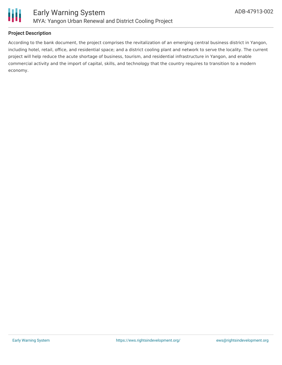

#### **Project Description**

According to the bank document, the project comprises the revitalization of an emerging central business district in Yangon, including hotel, retail, office, and residential space; and a district cooling plant and network to serve the locality. The current project will help reduce the acute shortage of business, tourism, and residential infrastructure in Yangon, and enable commercial activity and the import of capital, skills, and technology that the country requires to transition to a modern economy.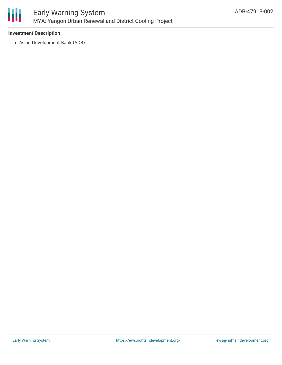

## Early Warning System MYA: Yangon Urban Renewal and District Cooling Project

#### **Investment Description**

Asian Development Bank (ADB)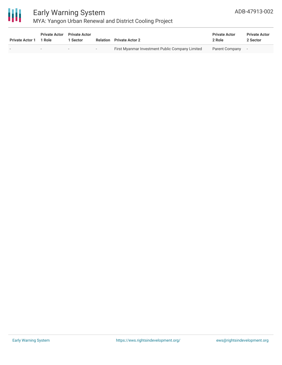

## Early Warning System

### MYA: Yangon Urban Renewal and District Cooling Project

| <b>Private Actor 1</b> | <b>Private Actor</b><br>1 Role | <b>Private Actor</b><br>1 Sector |        | <b>Relation</b> Private Actor 2                 | <b>Private Actor</b><br>2 Role | <b>Private Actor</b><br>2 Sector |
|------------------------|--------------------------------|----------------------------------|--------|-------------------------------------------------|--------------------------------|----------------------------------|
|                        |                                |                                  | $\sim$ | First Myanmar Investment Public Company Limited | Parent Company                 |                                  |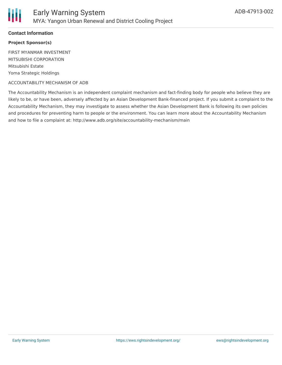

#### **Contact Information**

#### **Project Sponsor(s)**

FIRST MYANMAR INVESTMENT MITSUBISHI CORPORATION Mitsubishi Estate Yoma Strategic Holdings

#### ACCOUNTABILITY MECHANISM OF ADB

The Accountability Mechanism is an independent complaint mechanism and fact-finding body for people who believe they are likely to be, or have been, adversely affected by an Asian Development Bank-financed project. If you submit a complaint to the Accountability Mechanism, they may investigate to assess whether the Asian Development Bank is following its own policies and procedures for preventing harm to people or the environment. You can learn more about the Accountability Mechanism and how to file a complaint at: http://www.adb.org/site/accountability-mechanism/main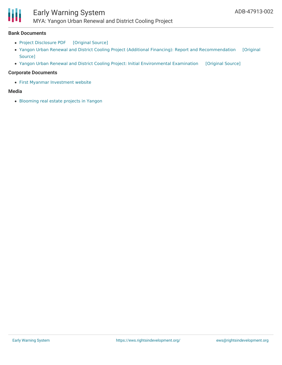## Early Warning System

MYA: Yangon Urban Renewal and District Cooling Project

#### **Bank Documents**

- Project [Disclosure](https://ewsdata.rightsindevelopment.org/files/documents/02/ADB-47913-002.pdf) PDF [\[Original](https://www.adb.org/printpdf/projects/47913-002/main) Source]
- Yangon Urban Renewal and District Cooling Project (Additional Financing): Report and [Recommendation](https://www.adb.org/projects/documents/mya-yangon-urban-renewal-and-district-cooling-project-af-rrp) [Original Source]
- Yangon Urban Renewal and District Cooling Project: Initial [Environmental](https://ewsdata.rightsindevelopment.org/files/documents/02/ADB-47913-002_TLMoiFD.pdf) Examination [\[Original](https://www.adb.org/projects/documents/mya-yangon-urban-renewal-and-district-cooling-jul-2016-iee) Source]

#### **Corporate Documents**

First Myanmar [Investment](https://fmi.com.mm/about/about-fmi/) website

#### **Media**

H

[Blooming](https://consult-myanmar.com/2018/10/16/more-mixed-use-projects-springing-up-in-yangon/) real estate projects in Yangon